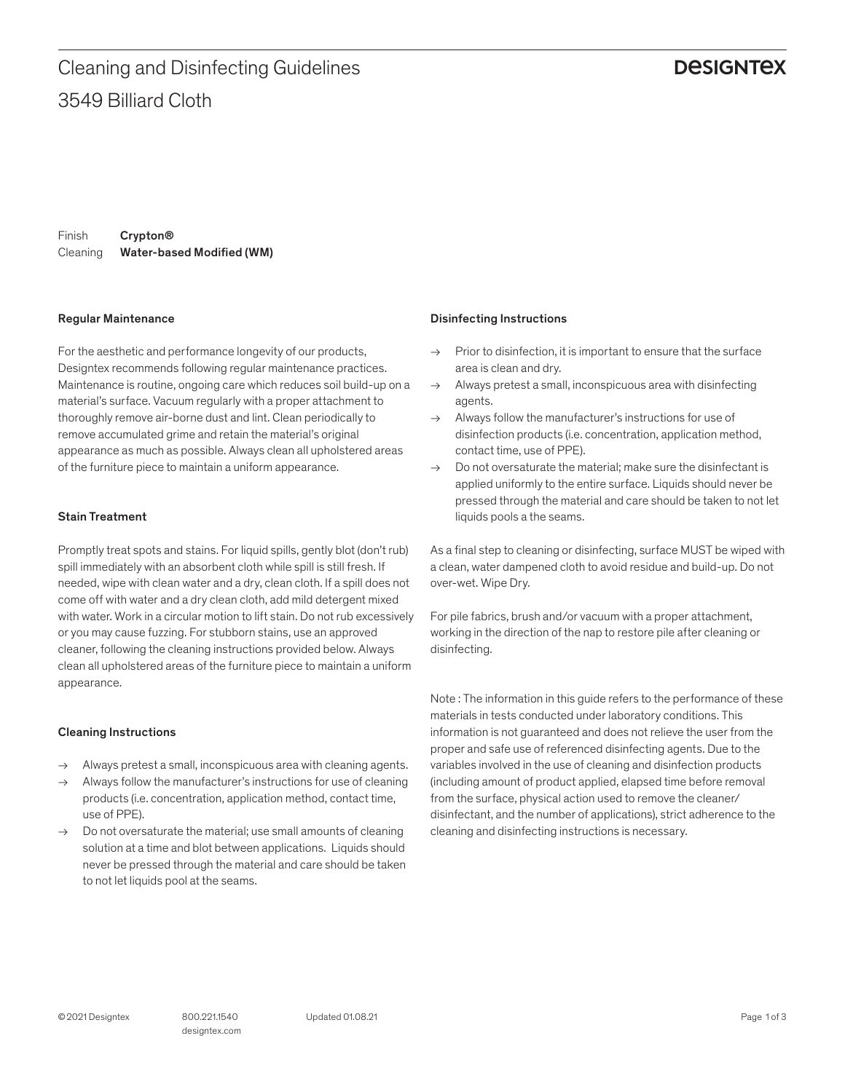### **DESIGNTEX**

Finish Cleaning Water-based Modified (WM) Crypton®

#### Regular Maintenance

For the aesthetic and performance longevity of our products, Designtex recommends following regular maintenance practices. Maintenance is routine, ongoing care which reduces soil build-up on a material's surface. Vacuum regularly with a proper attachment to thoroughly remove air-borne dust and lint. Clean periodically to remove accumulated grime and retain the material's original appearance as much as possible. Always clean all upholstered areas of the furniture piece to maintain a uniform appearance.

#### Stain Treatment

Promptly treat spots and stains. For liquid spills, gently blot (don't rub) spill immediately with an absorbent cloth while spill is still fresh. If needed, wipe with clean water and a dry, clean cloth. If a spill does not come off with water and a dry clean cloth, add mild detergent mixed with water. Work in a circular motion to lift stain. Do not rub excessively or you may cause fuzzing. For stubborn stains, use an approved cleaner, following the cleaning instructions provided below. Always clean all upholstered areas of the furniture piece to maintain a uniform appearance.

#### Cleaning Instructions

- → Always pretest a small, inconspicuous area with cleaning agents.
- Always follow the manufacturer's instructions for use of cleaning products (i.e. concentration, application method, contact time, use of PPE).
- $\rightarrow$  Do not oversaturate the material; use small amounts of cleaning solution at a time and blot between applications. Liquids should never be pressed through the material and care should be taken to not let liquids pool at the seams.

#### Disinfecting Instructions

- $\rightarrow$  Prior to disinfection, it is important to ensure that the surface area is clean and dry.
- $\rightarrow$  Always pretest a small, inconspicuous area with disinfecting agents.
- $\rightarrow$  Always follow the manufacturer's instructions for use of disinfection products (i.e. concentration, application method, contact time, use of PPE).
- $\rightarrow$  Do not oversaturate the material: make sure the disinfectant is applied uniformly to the entire surface. Liquids should never be pressed through the material and care should be taken to not let liquids pools a the seams.

As a final step to cleaning or disinfecting, surface MUST be wiped with a clean, water dampened cloth to avoid residue and build-up. Do not over-wet. Wipe Dry.

For pile fabrics, brush and/or vacuum with a proper attachment, working in the direction of the nap to restore pile after cleaning or disinfecting.

Note : The information in this guide refers to the performance of these materials in tests conducted under laboratory conditions. This information is not guaranteed and does not relieve the user from the proper and safe use of referenced disinfecting agents. Due to the variables involved in the use of cleaning and disinfection products (including amount of product applied, elapsed time before removal from the surface, physical action used to remove the cleaner/ disinfectant, and the number of applications), strict adherence to the cleaning and disinfecting instructions is necessary.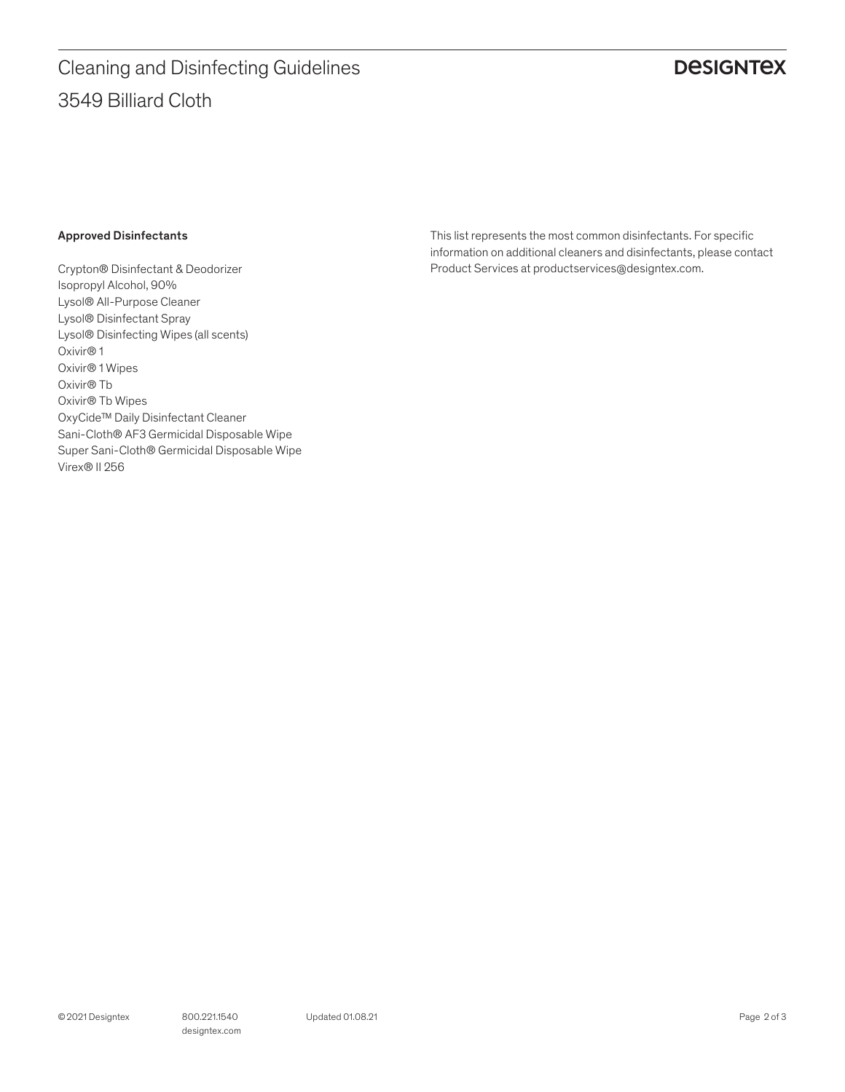# 3549 Billiard Cloth Cleaning and Disinfecting Guidelines

## **DESIGNTEX**

#### Approved Disinfectants

Crypton® Disinfectant & Deodorizer Isopropyl Alcohol, 90% Lysol® All-Purpose Cleaner Lysol® Disinfectant Spray Lysol® Disinfecting Wipes (all scents) Oxivir® 1 Oxivir® 1 Wipes Oxivir® Tb Oxivir® Tb Wipes OxyCide™ Daily Disinfectant Cleaner Sani-Cloth® AF3 Germicidal Disposable Wipe Super Sani-Cloth® Germicidal Disposable Wipe Virex® II 256

This list represents the most common disinfectants. For specific information on additional cleaners and disinfectants, please contact Product Services at productservices@designtex.com.